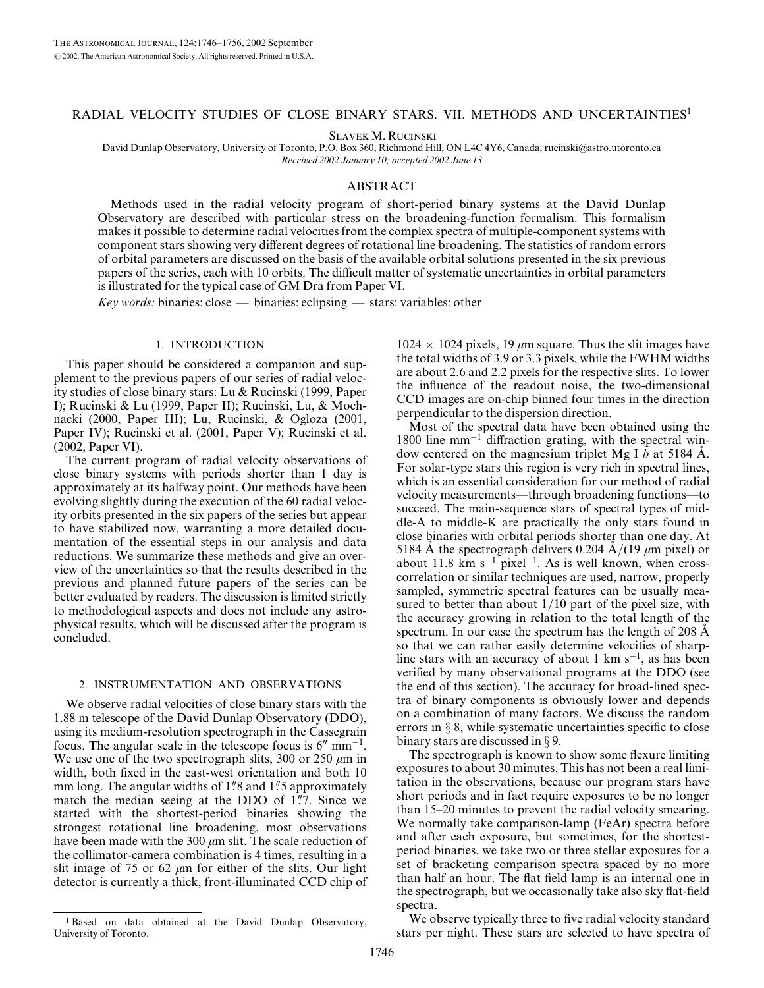### RADIAL VELOCITY STUDIES OF CLOSE BINARY STARS. VII. METHODS AND UNCERTAINTIES<sup>1</sup>

Slavek M. Rucinski

David Dunlap Observatory, University of Toronto, P.O. Box 360, Richmond Hill, ON L4C 4Y6, Canada; rucinski@astro.utoronto.ca Received 2002 January 10; accepted 2002 June 13

#### ABSTRACT

Methods used in the radial velocity program of short-period binary systems at the David Dunlap Observatory are described with particular stress on the broadening-function formalism. This formalism makes it possible to determine radial velocities from the complex spectra of multiple-component systems with component stars showing very different degrees of rotational line broadening. The statistics of random errors of orbital parameters are discussed on the basis of the available orbital solutions presented in the six previous papers of the series, each with 10 orbits. The difficult matter of systematic uncertainties in orbital parameters is illustrated for the typical case of GM Dra from Paper VI.

Key words: binaries: close  $-$  binaries: eclipsing  $-$  stars: variables: other

### 1. INTRODUCTION

This paper should be considered a companion and supplement to the previous papers of our series of radial velocity studies of close binary stars: Lu & Rucinski (1999, Paper I); Rucinski & Lu (1999, Paper II); Rucinski, Lu, & Mochnacki (2000, Paper III); Lu, Rucinski, & Ogloza (2001, Paper IV); Rucinski et al. (2001, Paper V); Rucinski et al. (2002, Paper VI).

The current program of radial velocity observations of close binary systems with periods shorter than 1 day is approximately at its halfway point. Our methods have been evolving slightly during the execution of the 60 radial velocity orbits presented in the six papers of the series but appear to have stabilized now, warranting a more detailed documentation of the essential steps in our analysis and data reductions. We summarize these methods and give an overview of the uncertainties so that the results described in the previous and planned future papers of the series can be better evaluated by readers. The discussion is limited strictly to methodological aspects and does not include any astrophysical results, which will be discussed after the program is concluded.

#### 2. INSTRUMENTATION AND OBSERVATIONS

We observe radial velocities of close binary stars with the 1.88 m telescope of the David Dunlap Observatory (DDO), using its medium-resolution spectrograph in the Cassegrain focus. The angular scale in the telescope focus is  $6<sup>′</sup>$  mm<sup>-1</sup>. We use one of the two spectrograph slits, 300 or 250  $\mu$ m in width, both fixed in the east-west orientation and both 10 mm long. The angular widths of  $1\%$  and  $1\%$  approximately match the median seeing at the DDO of 1."7. Since we started with the shortest-period binaries showing the strongest rotational line broadening, most observations have been made with the 300  $\mu$ m slit. The scale reduction of the collimator-camera combination is 4 times, resulting in a slit image of 75 or 62  $\mu$ m for either of the slits. Our light detector is currently a thick, front-illuminated CCD chip of

 $1024 \times 1024$  pixels, 19  $\mu$ m square. Thus the slit images have the total widths of 3.9 or 3.3 pixels, while the FWHM widths are about 2.6 and 2.2 pixels for the respective slits. To lower the influence of the readout noise, the two-dimensional CCD images are on-chip binned four times in the direction perpendicular to the dispersion direction.

Most of the spectral data have been obtained using the 1800 line  $mm^{-1}$  diffraction grating, with the spectral window centered on the magnesium triplet Mg I  $\dot{b}$  at 5184 Å. For solar-type stars this region is very rich in spectral lines, which is an essential consideration for our method of radial velocity measurements—through broadening functions—to succeed. The main-sequence stars of spectral types of middle-A to middle-K are practically the only stars found in close binaries with orbital periods shorter than one day. At 5184 Å the spectrograph delivers 0.204 Å/(19  $\mu$ m pixel) or about 11.8 km  $s^{-1}$  pixel<sup>-1</sup>. As is well known, when crosscorrelation or similar techniques are used, narrow, properly sampled, symmetric spectral features can be usually measured to better than about  $1/10$  part of the pixel size, with the accuracy growing in relation to the total length of the spectrum. In our case the spectrum has the length of  $208 \text{ Å}$ so that we can rather easily determine velocities of sharpline stars with an accuracy of about 1 km  $s^{-1}$ , as has been verified by many observational programs at the DDO (see the end of this section). The accuracy for broad-lined spectra of binary components is obviously lower and depends on a combination of many factors. We discuss the random errors in  $\S$  8, while systematic uncertainties specific to close binary stars are discussed in  $\S$  9.

The spectrograph is known to show some flexure limiting exposures to about 30 minutes. This has not been a real limitation in the observations, because our program stars have short periods and in fact require exposures to be no longer than 15–20 minutes to prevent the radial velocity smearing. We normally take comparison-lamp (FeAr) spectra before and after each exposure, but sometimes, for the shortestperiod binaries, we take two or three stellar exposures for a set of bracketing comparison spectra spaced by no more than half an hour. The flat field lamp is an internal one in the spectrograph, but we occasionally take also sky flat-field spectra.

We observe typically three to five radial velocity standard stars per night. These stars are selected to have spectra of

<sup>&</sup>lt;sup>1</sup> Based on data obtained at the David Dunlap Observatory, University of Toronto.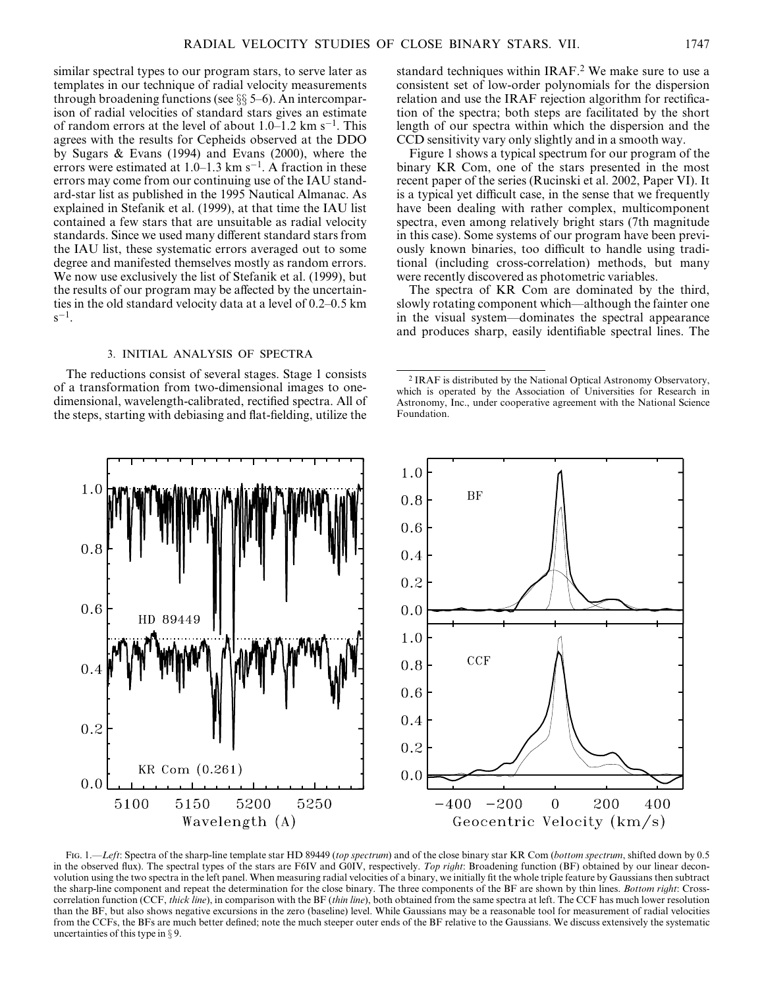similar spectral types to our program stars, to serve later as templates in our technique of radial velocity measurements through broadening functions (see  $\S$  $\S$  5–6). An intercomparison of radial velocities of standard stars gives an estimate of random errors at the level of about  $1.0-1.2$  km s<sup>-1</sup>. This agrees with the results for Cepheids observed at the DDO by Sugars & Evans (1994) and Evans (2000), where the errors were estimated at  $1.0-1.3$  km s<sup>-1</sup>. A fraction in these errors may come from our continuing use of the IAU standard-star list as published in the 1995 Nautical Almanac. As explained in Stefanik et al. (1999), at that time the IAU list contained a few stars that are unsuitable as radial velocity standards. Since we used many different standard stars from the IAU list, these systematic errors averaged out to some degree and manifested themselves mostly as random errors. We now use exclusively the list of Stefanik et al. (1999), but the results of our program may be affected by the uncertainties in the old standard velocity data at a level of 0.2–0.5 km  $s^{-1}$ .

# 3. INITIAL ANALYSIS OF SPECTRA

The reductions consist of several stages. Stage 1 consists of a transformation from two-dimensional images to onedimensional, wavelength-calibrated, rectified spectra. All of the steps, starting with debiasing and flat-fielding, utilize the

standard techniques within  $IRAF<sup>2</sup>$  We make sure to use a consistent set of low-order polynomials for the dispersion relation and use the IRAF rejection algorithm for rectification of the spectra; both steps are facilitated by the short length of our spectra within which the dispersion and the CCD sensitivity vary only slightly and in a smooth way.

Figure 1 shows a typical spectrum for our program of the binary KR Com, one of the stars presented in the most recent paper of the series (Rucinski et al. 2002, Paper VI). It is a typical yet difficult case, in the sense that we frequently have been dealing with rather complex, multicomponent spectra, even among relatively bright stars (7th magnitude in this case). Some systems of our program have been previously known binaries, too difficult to handle using traditional (including cross-correlation) methods, but many were recently discovered as photometric variables.

The spectra of KR Com are dominated by the third, slowly rotating component which—although the fainter one in the visual system—dominates the spectral appearance and produces sharp, easily identifiable spectral lines. The

<sup>2</sup> IRAF is distributed by the National Optical Astronomy Observatory, which is operated by the Association of Universities for Research in Astronomy, Inc., under cooperative agreement with the National Science Foundation.



Fig. 1.—Left: Spectra of the sharp-line template star HD 89449 (top spectrum) and of the close binary star KR Com (bottom spectrum, shifted down by 0.5 in the observed flux). The spectral types of the stars are F6IV and G0IV, respectively. Top right: Broadening function (BF) obtained by our linear deconvolution using the two spectra in the left panel. When measuring radial velocities of a binary, we initially fit the whole triple feature by Gaussians then subtract the sharp-line component and repeat the determination for the close binary. The three components of the BF are shown by thin lines. Bottom right: Crosscorrelation function (CCF, thick line), in comparison with the BF (thin line), both obtained from the same spectra at left. The CCF has much lower resolution than the BF, but also shows negative excursions in the zero (baseline) level. While Gaussians may be a reasonable tool for measurement of radial velocities from the CCFs, the BFs are much better defined; note the much steeper outer ends of the BF relative to the Gaussians. We discuss extensively the systematic uncertainties of this type in  $\S$  9.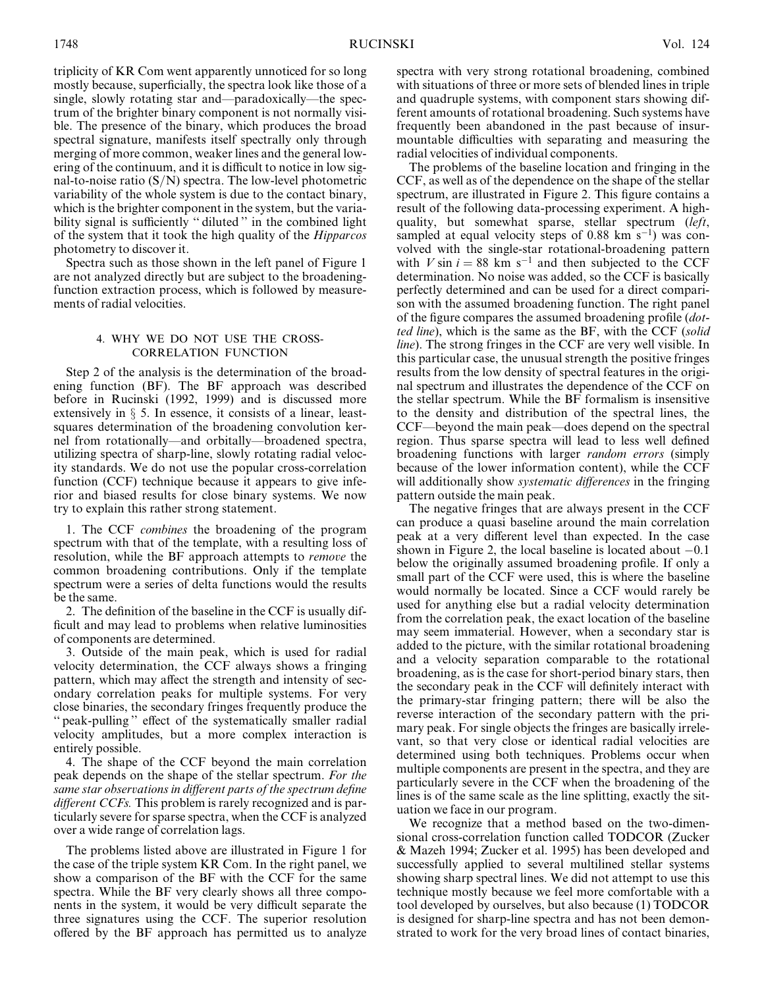triplicity of KR Com went apparently unnoticed for so long mostly because, superficially, the spectra look like those of a single, slowly rotating star and—paradoxically—the spectrum of the brighter binary component is not normally visible. The presence of the binary, which produces the broad spectral signature, manifests itself spectrally only through merging of more common, weaker lines and the general lowering of the continuum, and it is difficult to notice in low signal-to-noise ratio  $(S/N)$  spectra. The low-level photometric variability of the whole system is due to the contact binary, which is the brighter component in the system, but the variability signal is sufficiently "diluted" in the combined light of the system that it took the high quality of the Hipparcos photometry to discover it.

Spectra such as those shown in the left panel of Figure 1 are not analyzed directly but are subject to the broadeningfunction extraction process, which is followed by measurements of radial velocities.

# 4. WHY WE DO NOT USE THE CROSS-CORRELATION FUNCTION

Step 2 of the analysis is the determination of the broadening function (BF). The BF approach was described before in Rucinski (1992, 1999) and is discussed more extensively in  $\S$  5. In essence, it consists of a linear, leastsquares determination of the broadening convolution kernel from rotationally—and orbitally—broadened spectra, utilizing spectra of sharp-line, slowly rotating radial velocity standards. We do not use the popular cross-correlation function (CCF) technique because it appears to give inferior and biased results for close binary systems. We now try to explain this rather strong statement.

1. The CCF combines the broadening of the program spectrum with that of the template, with a resulting loss of resolution, while the BF approach attempts to remove the common broadening contributions. Only if the template spectrum were a series of delta functions would the results be the same.

2. The definition of the baseline in the CCF is usually difficult and may lead to problems when relative luminosities of components are determined.

3. Outside of the main peak, which is used for radial velocity determination, the CCF always shows a fringing pattern, which may affect the strength and intensity of secondary correlation peaks for multiple systems. For very close binaries, the secondary fringes frequently produce the '' peak-pulling '' effect of the systematically smaller radial velocity amplitudes, but a more complex interaction is entirely possible.

4. The shape of the CCF beyond the main correlation peak depends on the shape of the stellar spectrum. For the same star observations in different parts of the spectrum define different CCFs. This problem is rarely recognized and is particularly severe for sparse spectra, when the CCF is analyzed over a wide range of correlation lags.

The problems listed above are illustrated in Figure 1 for the case of the triple system KR Com. In the right panel, we show a comparison of the BF with the CCF for the same spectra. While the BF very clearly shows all three components in the system, it would be very difficult separate the three signatures using the CCF. The superior resolution offered by the BF approach has permitted us to analyze

spectra with very strong rotational broadening, combined with situations of three or more sets of blended lines in triple and quadruple systems, with component stars showing different amounts of rotational broadening. Such systems have frequently been abandoned in the past because of insurmountable difficulties with separating and measuring the radial velocities of individual components.

The problems of the baseline location and fringing in the CCF, as well as of the dependence on the shape of the stellar spectrum, are illustrated in Figure 2. This figure contains a result of the following data-processing experiment. A highquality, but somewhat sparse, stellar spectrum (left, sampled at equal velocity steps of  $0.88 \text{ km s}^{-1}$ ) was convolved with the single-star rotational-broadening pattern with  $V \sin i = 88$  km s<sup>-1</sup> and then subjected to the CCF determination. No noise was added, so the CCF is basically perfectly determined and can be used for a direct comparison with the assumed broadening function. The right panel of the figure compares the assumed broadening profile (*dot*ted line), which is the same as the BF, with the CCF (solid line). The strong fringes in the CCF are very well visible. In this particular case, the unusual strength the positive fringes results from the low density of spectral features in the original spectrum and illustrates the dependence of the CCF on the stellar spectrum. While the BF formalism is insensitive to the density and distribution of the spectral lines, the CCF—beyond the main peak—does depend on the spectral region. Thus sparse spectra will lead to less well defined broadening functions with larger random errors (simply because of the lower information content), while the CCF will additionally show systematic differences in the fringing pattern outside the main peak.

The negative fringes that are always present in the CCF can produce a quasi baseline around the main correlation peak at a very different level than expected. In the case shown in Figure 2, the local baseline is located about  $-0.1$ below the originally assumed broadening profile. If only a small part of the CCF were used, this is where the baseline would normally be located. Since a CCF would rarely be used for anything else but a radial velocity determination from the correlation peak, the exact location of the baseline may seem immaterial. However, when a secondary star is added to the picture, with the similar rotational broadening and a velocity separation comparable to the rotational broadening, as is the case for short-period binary stars, then the secondary peak in the CCF will definitely interact with the primary-star fringing pattern; there will be also the reverse interaction of the secondary pattern with the primary peak. For single objects the fringes are basically irrelevant, so that very close or identical radial velocities are determined using both techniques. Problems occur when multiple components are present in the spectra, and they are particularly severe in the CCF when the broadening of the lines is of the same scale as the line splitting, exactly the situation we face in our program.

We recognize that a method based on the two-dimensional cross-correlation function called TODCOR (Zucker & Mazeh 1994; Zucker et al. 1995) has been developed and successfully applied to several multilined stellar systems showing sharp spectral lines. We did not attempt to use this technique mostly because we feel more comfortable with a tool developed by ourselves, but also because (1) TODCOR is designed for sharp-line spectra and has not been demonstrated to work for the very broad lines of contact binaries,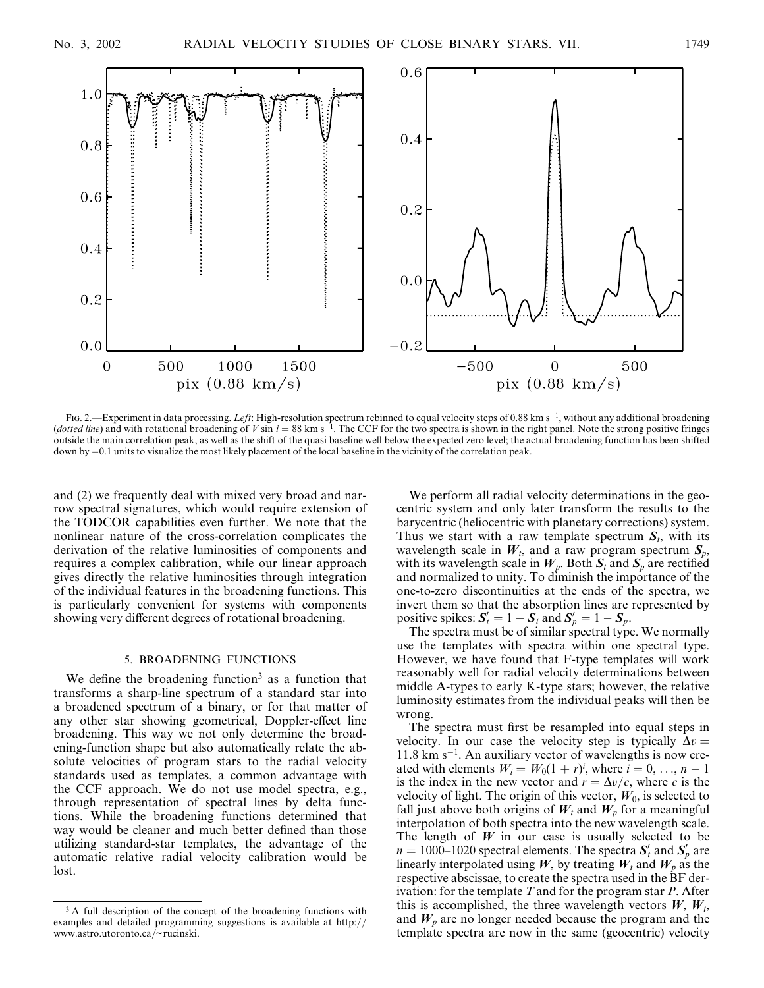

FIG. 2.—Experiment in data processing. Left: High-resolution spectrum rebinned to equal velocity steps of 0.88 km s<sup>-1</sup>, without any additional broadening (dotted line) and with rotational broadening of V sin  $i = 88$  km s<sup>-1</sup>. The CCF for the two spectra is shown in the right panel. Note the strong positive fringes outside the main correlation peak, as well as the shift of the quasi baseline well below the expected zero level; the actual broadening function has been shifted down by  $-0.1$  units to visualize the most likely placement of the local baseline in the vicinity of the correlation peak.

and (2) we frequently deal with mixed very broad and narrow spectral signatures, which would require extension of the TODCOR capabilities even further. We note that the nonlinear nature of the cross-correlation complicates the derivation of the relative luminosities of components and requires a complex calibration, while our linear approach gives directly the relative luminosities through integration of the individual features in the broadening functions. This is particularly convenient for systems with components showing very different degrees of rotational broadening.

# 5. BROADENING FUNCTIONS

We define the broadening function<sup>3</sup> as a function that transforms a sharp-line spectrum of a standard star into a broadened spectrum of a binary, or for that matter of any other star showing geometrical, Doppler-effect line broadening. This way we not only determine the broadening-function shape but also automatically relate the absolute velocities of program stars to the radial velocity standards used as templates, a common advantage with the CCF approach. We do not use model spectra, e.g., through representation of spectral lines by delta functions. While the broadening functions determined that way would be cleaner and much better defined than those utilizing standard-star templates, the advantage of the automatic relative radial velocity calibration would be lost.

We perform all radial velocity determinations in the geocentric system and only later transform the results to the barycentric (heliocentric with planetary corrections) system. Thus we start with a raw template spectrum  $S_t$ , with its wavelength scale in  $W_t$ , and a raw program spectrum  $S_p$ , with its wavelength scale in  $W_p$ . Both  $S_t$  and  $S_p$  are rectified and normalized to unity. To diminish the importance of the one-to-zero discontinuities at the ends of the spectra, we invert them so that the absorption lines are represented by positive spikes:  $S'_t = 1 - S_t$  and  $S'_p = 1 - S_p$ .

The spectra must be of similar spectral type. We normally use the templates with spectra within one spectral type. However, we have found that F-type templates will work reasonably well for radial velocity determinations between middle A-types to early K-type stars; however, the relative luminosity estimates from the individual peaks will then be wrong.

The spectra must first be resampled into equal steps in velocity. In our case the velocity step is typically  $\Delta v =$  $11.8 \text{ km s}^{-1}$ . An auxiliary vector of wavelengths is now created with elements  $W_i = W_0(1 + r)^i$ , where  $i = 0, ..., n - 1$ is the index in the new vector and  $r = \Delta v/c$ , where c is the velocity of light. The origin of this vector,  $W_0$ , is selected to fall just above both origins of  $W_t$  and  $W_p$  for a meaningful interpolation of both spectra into the new wavelength scale. The length of  $W$  in our case is usually selected to be  $n = 1000-1020$  spectral elements. The spectra  $S'_t$  and  $S'_p$  are linearly interpolated using  $W$ , by treating  $W_t$  and  $W_p$  as the respective abscissae, to create the spectra used in the BF derivation: for the template  $T$  and for the program star  $P$ . After this is accomplished, the three wavelength vectors  $W, W_t$ , and  $W_p$  are no longer needed because the program and the template spectra are now in the same (geocentric) velocity

<sup>&</sup>lt;sup>3</sup> A full description of the concept of the broadening functions with examples and detailed programming suggestions is available at http:// www.astro.utoronto.ca/~rucinski.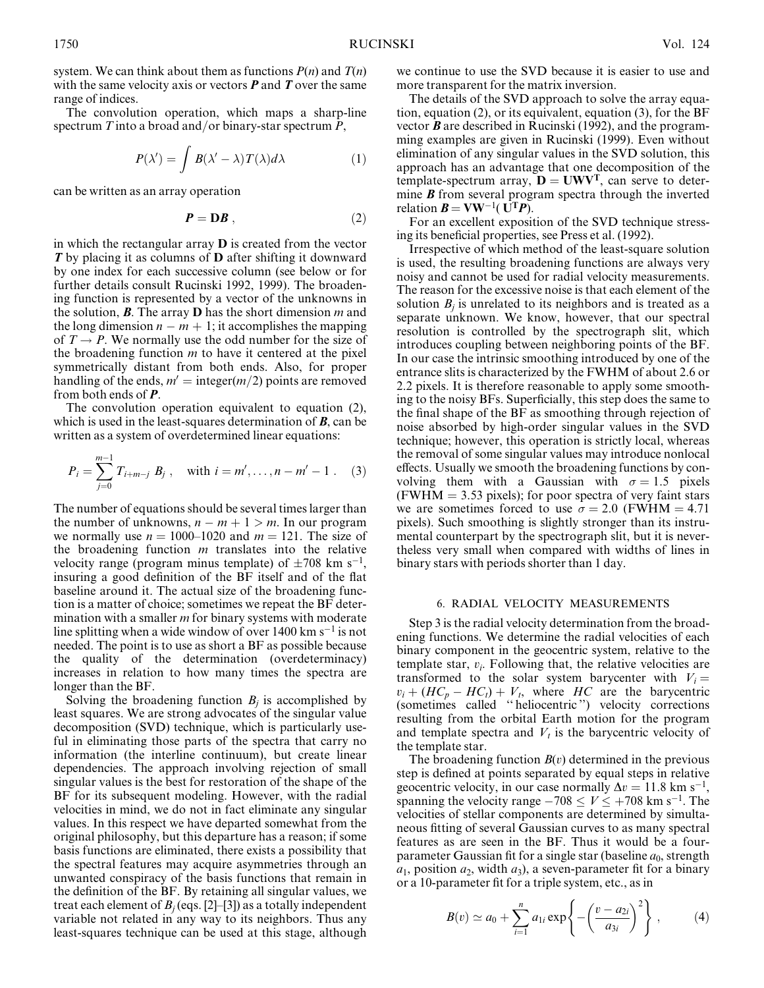system. We can think about them as functions  $P(n)$  and  $T(n)$ with the same velocity axis or vectors  $P$  and  $T$  over the same range of indices.

The convolution operation, which maps a sharp-line spectrum T into a broad and/or binary-star spectrum  $P$ ,

$$
P(\lambda') = \int B(\lambda' - \lambda) T(\lambda) d\lambda \tag{1}
$$

can be written as an array operation

$$
P = DB , \t\t(2)
$$

in which the rectangular array  **is created from the vector** T by placing it as columns of D after shifting it downward by one index for each successive column (see below or for further details consult Rucinski 1992, 1999). The broadening function is represented by a vector of the unknowns in the solution, **B**. The array **D** has the short dimension m and the long dimension  $n - m + 1$ ; it accomplishes the mapping of  $T \rightarrow P$ . We normally use the odd number for the size of the broadening function  $m$  to have it centered at the pixel symmetrically distant from both ends. Also, for proper handling of the ends,  $m' =$  integer( $m/2$ ) points are removed from both ends of P.

The convolution operation equivalent to equation (2), which is used in the least-squares determination of  $\bm{B}$ , can be written as a system of overdetermined linear equations:

$$
P_i = \sum_{j=0}^{m-1} T_{i+m-j} B_j , \text{ with } i = m', \dots, n - m' - 1 . \quad (3)
$$

The number of equations should be several times larger than the number of unknowns,  $n - m + 1 > m$ . In our program we normally use  $n = 1000-1020$  and  $m = 121$ . The size of the broadening function  $m$  translates into the relative velocity range (program minus template) of  $\pm 708$  km s<sup>-1</sup>, insuring a good definition of the BF itself and of the flat baseline around it. The actual size of the broadening function is a matter of choice; sometimes we repeat the BF determination with a smaller  $m$  for binary systems with moderate line splitting when a wide window of over  $1400 \text{ km s}^{-1}$  is not needed. The point is to use as short a BF as possible because the quality of the determination (overdeterminacy) increases in relation to how many times the spectra are longer than the BF.

Solving the broadening function  $B_j$  is accomplished by least squares. We are strong advocates of the singular value decomposition (SVD) technique, which is particularly useful in eliminating those parts of the spectra that carry no information (the interline continuum), but create linear dependencies. The approach involving rejection of small singular values is the best for restoration of the shape of the BF for its subsequent modeling. However, with the radial velocities in mind, we do not in fact eliminate any singular values. In this respect we have departed somewhat from the original philosophy, but this departure has a reason; if some basis functions are eliminated, there exists a possibility that the spectral features may acquire asymmetries through an unwanted conspiracy of the basis functions that remain in the definition of the BF. By retaining all singular values, we treat each element of  $B_j$  (eqs. [2]–[3]) as a totally independent variable not related in any way to its neighbors. Thus any least-squares technique can be used at this stage, although we continue to use the SVD because it is easier to use and more transparent for the matrix inversion.

The details of the SVD approach to solve the array equation, equation (2), or its equivalent, equation (3), for the BF vector  $\bm{B}$  are described in Rucinski (1992), and the programming examples are given in Rucinski (1999). Even without elimination of any singular values in the SVD solution, this approach has an advantage that one decomposition of the template-spectrum array,  $D = UWV^{T}$ , can serve to determine  $\bm{B}$  from several program spectra through the inverted relation  $B = VW^{-1}(\vec{U}^T P)$ .

For an excellent exposition of the SVD technique stressing its beneficial properties, see Press et al. (1992).

Irrespective of which method of the least-square solution is used, the resulting broadening functions are always very noisy and cannot be used for radial velocity measurements. The reason for the excessive noise is that each element of the solution  $B_j$  is unrelated to its neighbors and is treated as a separate unknown. We know, however, that our spectral resolution is controlled by the spectrograph slit, which introduces coupling between neighboring points of the BF. In our case the intrinsic smoothing introduced by one of the entrance slits is characterized by the FWHM of about 2.6 or 2.2 pixels. It is therefore reasonable to apply some smoothing to the noisy BFs. Superficially, this step does the same to the final shape of the BF as smoothing through rejection of noise absorbed by high-order singular values in the SVD technique; however, this operation is strictly local, whereas the removal of some singular values may introduce nonlocal effects. Usually we smooth the broadening functions by convolving them with a Gaussian with  $\sigma = 1.5$  pixels  $(FWHM = 3.53$  pixels); for poor spectra of very faint stars we are sometimes forced to use  $\sigma = 2.0$  (FWHM = 4.71) pixels). Such smoothing is slightly stronger than its instrumental counterpart by the spectrograph slit, but it is nevertheless very small when compared with widths of lines in binary stars with periods shorter than 1 day.

#### 6. RADIAL VELOCITY MEASUREMENTS

Step 3 is the radial velocity determination from the broadening functions. We determine the radial velocities of each binary component in the geocentric system, relative to the template star,  $v_i$ . Following that, the relative velocities are transformed to the solar system barycenter with  $V_i =$  $v_i + (HC_p - HC_t) + V_t$ , where HC are the barycentric (sometimes called '' heliocentric '') velocity corrections resulting from the orbital Earth motion for the program and template spectra and  $V_t$  is the barycentric velocity of the template star.

The broadening function  $B(v)$  determined in the previous step is defined at points separated by equal steps in relative geocentric velocity, in our case normally  $\Delta v = 11.8$  km s<sup>-1</sup>, spanning the velocity range  $-708 \le V \le +708$  km s<sup>-1</sup>. The velocities of stellar components are determined by simultaneous fitting of several Gaussian curves to as many spectral features as are seen in the BF. Thus it would be a fourparameter Gaussian fit for a single star (baseline  $a_0$ , strength  $a_1$ , position  $a_2$ , width  $a_3$ ), a seven-parameter fit for a binary or a 10-parameter fit for a triple system, etc., as in

$$
B(v) \simeq a_0 + \sum_{i=1}^n a_{1i} \exp\left\{-\left(\frac{v - a_{2i}}{a_{3i}}\right)^2\right\},\qquad(4)
$$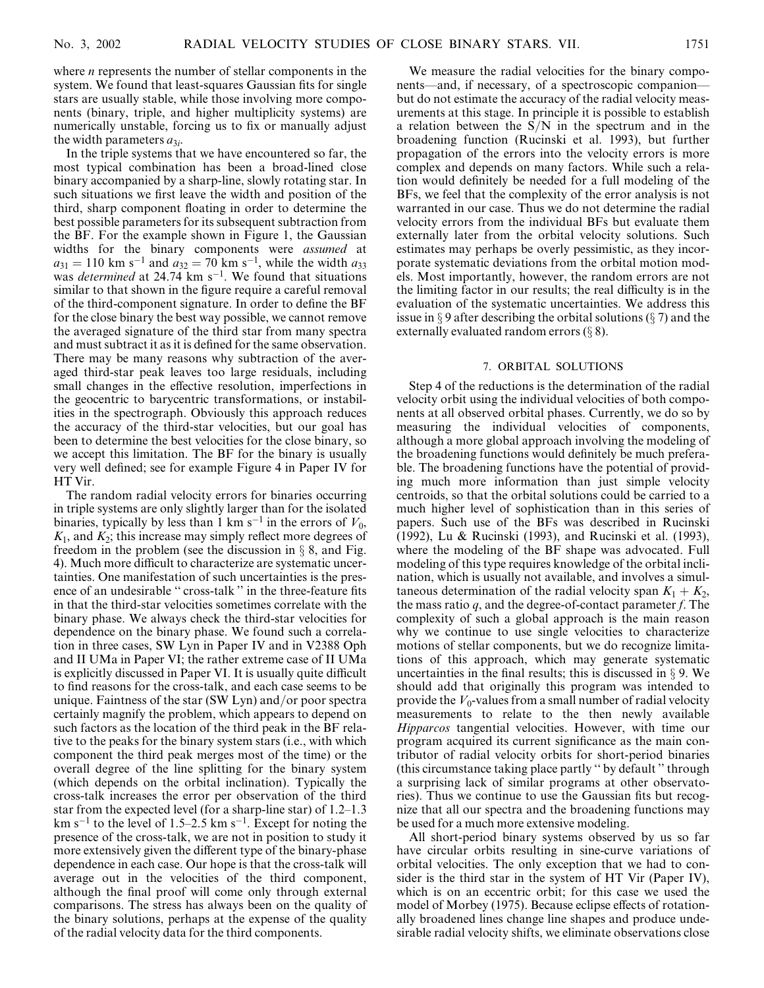where  $n$  represents the number of stellar components in the system. We found that least-squares Gaussian fits for single stars are usually stable, while those involving more components (binary, triple, and higher multiplicity systems) are numerically unstable, forcing us to fix or manually adjust the width parameters  $a_{3i}$ .

In the triple systems that we have encountered so far, the most typical combination has been a broad-lined close binary accompanied by a sharp-line, slowly rotating star. In such situations we first leave the width and position of the third, sharp component floating in order to determine the best possible parameters for its subsequent subtraction from the BF. For the example shown in Figure 1, the Gaussian widths for the binary components were *assumed* at  $a_{31} = 110$  km s<sup>-1</sup> and  $a_{32} = 70$  km s<sup>-1</sup>, while the width  $a_{33}$ was *determined* at 24.74  $km s^{-1}$ . We found that situations similar to that shown in the figure require a careful removal of the third-component signature. In order to define the BF for the close binary the best way possible, we cannot remove the averaged signature of the third star from many spectra and must subtract it as it is defined for the same observation. There may be many reasons why subtraction of the averaged third-star peak leaves too large residuals, including small changes in the effective resolution, imperfections in the geocentric to barycentric transformations, or instabilities in the spectrograph. Obviously this approach reduces the accuracy of the third-star velocities, but our goal has been to determine the best velocities for the close binary, so we accept this limitation. The BF for the binary is usually very well defined; see for example Figure 4 in Paper IV for HT Vir.

The random radial velocity errors for binaries occurring in triple systems are only slightly larger than for the isolated binaries, typically by less than 1 km s<sup>-1</sup> in the errors of  $V_0$ ,  $K_1$ , and  $K_2$ ; this increase may simply reflect more degrees of freedom in the problem (see the discussion in  $\S$  8, and Fig. 4). Much more difficult to characterize are systematic uncertainties. One manifestation of such uncertainties is the presence of an undesirable '' cross-talk '' in the three-feature fits in that the third-star velocities sometimes correlate with the binary phase. We always check the third-star velocities for dependence on the binary phase. We found such a correlation in three cases, SW Lyn in Paper IV and in V2388 Oph and II UMa in Paper VI; the rather extreme case of II UMa is explicitly discussed in Paper VI. It is usually quite difficult to find reasons for the cross-talk, and each case seems to be unique. Faintness of the star (SW Lyn) and/or poor spectra certainly magnify the problem, which appears to depend on such factors as the location of the third peak in the BF relative to the peaks for the binary system stars (i.e., with which component the third peak merges most of the time) or the overall degree of the line splitting for the binary system (which depends on the orbital inclination). Typically the cross-talk increases the error per observation of the third star from the expected level (for a sharp-line star) of 1.2–1.3 km s<sup>-1</sup> to the level of 1.5–2.5 km s<sup>-1</sup>. Except for noting the presence of the cross-talk, we are not in position to study it more extensively given the different type of the binary-phase dependence in each case. Our hope is that the cross-talk will average out in the velocities of the third component, although the final proof will come only through external comparisons. The stress has always been on the quality of the binary solutions, perhaps at the expense of the quality of the radial velocity data for the third components.

We measure the radial velocities for the binary components—and, if necessary, of a spectroscopic companion but do not estimate the accuracy of the radial velocity measurements at this stage. In principle it is possible to establish a relation between the  $S/N$  in the spectrum and in the broadening function (Rucinski et al. 1993), but further propagation of the errors into the velocity errors is more complex and depends on many factors. While such a relation would definitely be needed for a full modeling of the BFs, we feel that the complexity of the error analysis is not warranted in our case. Thus we do not determine the radial velocity errors from the individual BFs but evaluate them externally later from the orbital velocity solutions. Such estimates may perhaps be overly pessimistic, as they incorporate systematic deviations from the orbital motion models. Most importantly, however, the random errors are not the limiting factor in our results; the real difficulty is in the evaluation of the systematic uncertainties. We address this issue in  $\S$  9 after describing the orbital solutions ( $\S$  7) and the externally evaluated random errors  $(\S 8)$ .

### 7. ORBITAL SOLUTIONS

Step 4 of the reductions is the determination of the radial velocity orbit using the individual velocities of both components at all observed orbital phases. Currently, we do so by measuring the individual velocities of components, although a more global approach involving the modeling of the broadening functions would definitely be much preferable. The broadening functions have the potential of providing much more information than just simple velocity centroids, so that the orbital solutions could be carried to a much higher level of sophistication than in this series of papers. Such use of the BFs was described in Rucinski (1992), Lu & Rucinski (1993), and Rucinski et al. (1993), where the modeling of the BF shape was advocated. Full modeling of this type requires knowledge of the orbital inclination, which is usually not available, and involves a simultaneous determination of the radial velocity span  $K_1 + K_2$ , the mass ratio  $q$ , and the degree-of-contact parameter f. The complexity of such a global approach is the main reason why we continue to use single velocities to characterize motions of stellar components, but we do recognize limitations of this approach, which may generate systematic uncertainties in the final results; this is discussed in  $\S$  9. We should add that originally this program was intended to provide the  $V_0$ -values from a small number of radial velocity measurements to relate to the then newly available Hipparcos tangential velocities. However, with time our program acquired its current significance as the main contributor of radial velocity orbits for short-period binaries (this circumstance taking place partly '' by default '' through a surprising lack of similar programs at other observatories). Thus we continue to use the Gaussian fits but recognize that all our spectra and the broadening functions may be used for a much more extensive modeling.

All short-period binary systems observed by us so far have circular orbits resulting in sine-curve variations of orbital velocities. The only exception that we had to consider is the third star in the system of HT Vir (Paper IV), which is on an eccentric orbit; for this case we used the model of Morbey (1975). Because eclipse effects of rotationally broadened lines change line shapes and produce undesirable radial velocity shifts, we eliminate observations close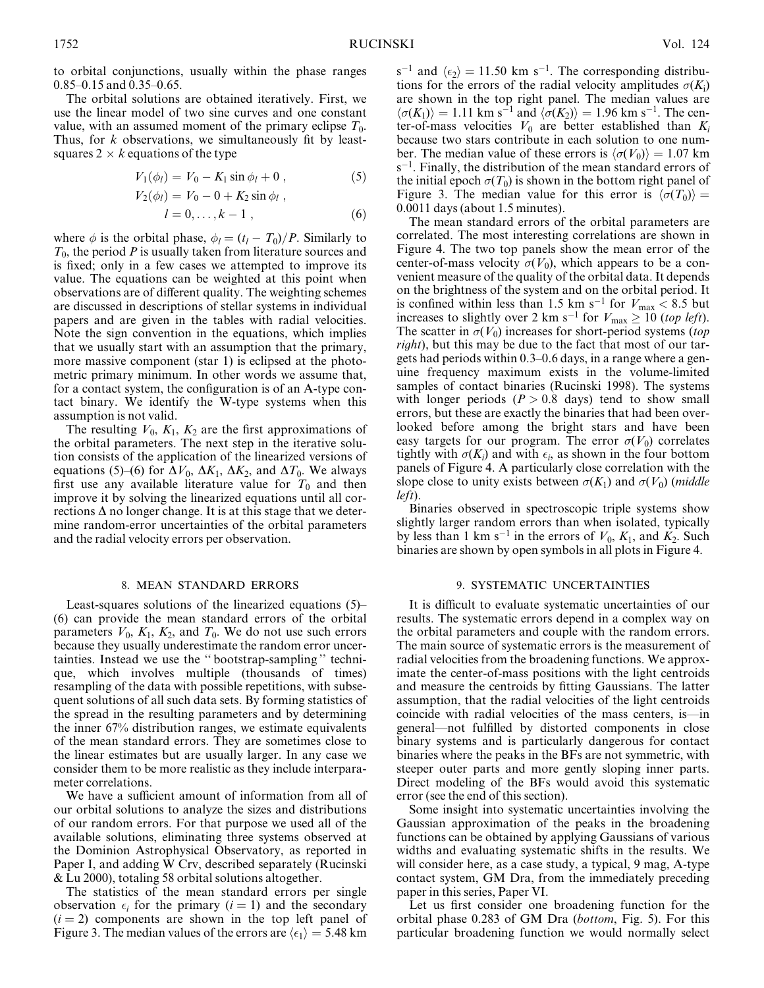to orbital conjunctions, usually within the phase ranges 0.85–0.15 and 0.35–0.65.

The orbital solutions are obtained iteratively. First, we use the linear model of two sine curves and one constant value, with an assumed moment of the primary eclipse  $T_0$ . Thus, for k observations, we simultaneously fit by leastsquares 2  $\times$  *k* equations of the type

$$
V_1(\phi_l) = V_0 - K_1 \sin \phi_l + 0 , \qquad (5)
$$

$$
V_2(\phi_l) = V_0 - 0 + K_2 \sin \phi_l ,
$$

$$
l=0,\ldots,k-1\;, \qquad \qquad (6)
$$

where  $\phi$  is the orbital phase,  $\phi_l = (t_l - T_0)/P$ . Similarly to  $T_0$ , the period P is usually taken from literature sources and is fixed; only in a few cases we attempted to improve its value. The equations can be weighted at this point when observations are of different quality. The weighting schemes are discussed in descriptions of stellar systems in individual papers and are given in the tables with radial velocities. Note the sign convention in the equations, which implies that we usually start with an assumption that the primary, more massive component (star 1) is eclipsed at the photometric primary minimum. In other words we assume that, for a contact system, the configuration is of an A-type contact binary. We identify the W-type systems when this assumption is not valid.

The resulting  $V_0$ ,  $K_1$ ,  $K_2$  are the first approximations of the orbital parameters. The next step in the iterative solution consists of the application of the linearized versions of equations (5)–(6) for  $\Delta V_0$ ,  $\Delta K_1$ ,  $\Delta K_2$ , and  $\Delta T_0$ . We always first use any available literature value for  $T_0$  and then improve it by solving the linearized equations until all corrections  $\Delta$  no longer change. It is at this stage that we determine random-error uncertainties of the orbital parameters and the radial velocity errors per observation.

# 8. MEAN STANDARD ERRORS

Least-squares solutions of the linearized equations (5)– (6) can provide the mean standard errors of the orbital parameters  $V_0$ ,  $K_1$ ,  $K_2$ , and  $T_0$ . We do not use such errors because they usually underestimate the random error uncertainties. Instead we use the '' bootstrap-sampling '' technique, which involves multiple (thousands of times) resampling of the data with possible repetitions, with subsequent solutions of all such data sets. By forming statistics of the spread in the resulting parameters and by determining the inner 67% distribution ranges, we estimate equivalents of the mean standard errors. They are sometimes close to the linear estimates but are usually larger. In any case we consider them to be more realistic as they include interparameter correlations.

We have a sufficient amount of information from all of our orbital solutions to analyze the sizes and distributions of our random errors. For that purpose we used all of the available solutions, eliminating three systems observed at the Dominion Astrophysical Observatory, as reported in Paper I, and adding W Crv, described separately (Rucinski & Lu 2000), totaling 58 orbital solutions altogether.

The statistics of the mean standard errors per single observation  $\epsilon_i$  for the primary (*i* = 1) and the secondary  $(i = 2)$  components are shown in the top left panel of Figure 3. The median values of the errors are  $\langle \epsilon_1 \rangle = 5.48$  km

s<sup>-1</sup> and  $\langle \epsilon_2 \rangle = 11.50$  km s<sup>-1</sup>. The corresponding distributions for the errors of the radial velocity amplitudes  $\sigma(K_i)$ are shown in the top right panel. The median values are  $\langle \sigma(K_1) \rangle = 1.11$  km s<sup>-1</sup> and  $\langle \sigma(K_2) \rangle = 1.96$  km s<sup>-1</sup>. The center-of-mass velocities  $V_0$  are better established than  $K_i$ because two stars contribute in each solution to one number. The median value of these errors is  $\langle \sigma(V_0) \rangle = 1.07$  km s<sup>-1</sup>. Finally, the distribution of the mean standard errors of the initial epoch  $\sigma(T_0)$  is shown in the bottom right panel of

Figure 3. The median value for this error is  $\langle \sigma(T_0) \rangle =$ 

0.0011 days (about 1.5 minutes). The mean standard errors of the orbital parameters are correlated. The most interesting correlations are shown in Figure 4. The two top panels show the mean error of the center-of-mass velocity  $\sigma(V_0)$ , which appears to be a convenient measure of the quality of the orbital data. It depends on the brightness of the system and on the orbital period. It is confined within less than 1.5 km s<sup>-1</sup> for  $V_{\text{max}} < 8.5$  but increases to slightly over 2 km s<sup>-1</sup> for  $V_{\text{max}} \ge 10$  (top left). The scatter in  $\sigma(V_0)$  increases for short-period systems (top right), but this may be due to the fact that most of our targets had periods within 0.3–0.6 days, in a range where a genuine frequency maximum exists in the volume-limited samples of contact binaries (Rucinski 1998). The systems with longer periods  $(P > 0.8$  days) tend to show small errors, but these are exactly the binaries that had been overlooked before among the bright stars and have been easy targets for our program. The error  $\sigma(V_0)$  correlates tightly with  $\sigma(K_i)$  and with  $\epsilon_i$ , as shown in the four bottom panels of Figure 4. A particularly close correlation with the slope close to unity exists between  $\sigma(K_1)$  and  $\sigma(V_0)$  (*middle* left).

Binaries observed in spectroscopic triple systems show slightly larger random errors than when isolated, typically by less than 1 km s<sup>-1</sup> in the errors of  $V_0$ ,  $K_1$ , and  $K_2$ . Such binaries are shown by open symbols in all plots in Figure 4.

#### 9. SYSTEMATIC UNCERTAINTIES

It is difficult to evaluate systematic uncertainties of our results. The systematic errors depend in a complex way on the orbital parameters and couple with the random errors. The main source of systematic errors is the measurement of radial velocities from the broadening functions. We approximate the center-of-mass positions with the light centroids and measure the centroids by fitting Gaussians. The latter assumption, that the radial velocities of the light centroids coincide with radial velocities of the mass centers, is—in general—not fulfilled by distorted components in close binary systems and is particularly dangerous for contact binaries where the peaks in the BFs are not symmetric, with steeper outer parts and more gently sloping inner parts. Direct modeling of the BFs would avoid this systematic error (see the end of this section).

Some insight into systematic uncertainties involving the Gaussian approximation of the peaks in the broadening functions can be obtained by applying Gaussians of various widths and evaluating systematic shifts in the results. We will consider here, as a case study, a typical, 9 mag, A-type contact system, GM Dra, from the immediately preceding paper in this series, Paper VI.

Let us first consider one broadening function for the orbital phase 0.283 of GM Dra (bottom, Fig. 5). For this particular broadening function we would normally select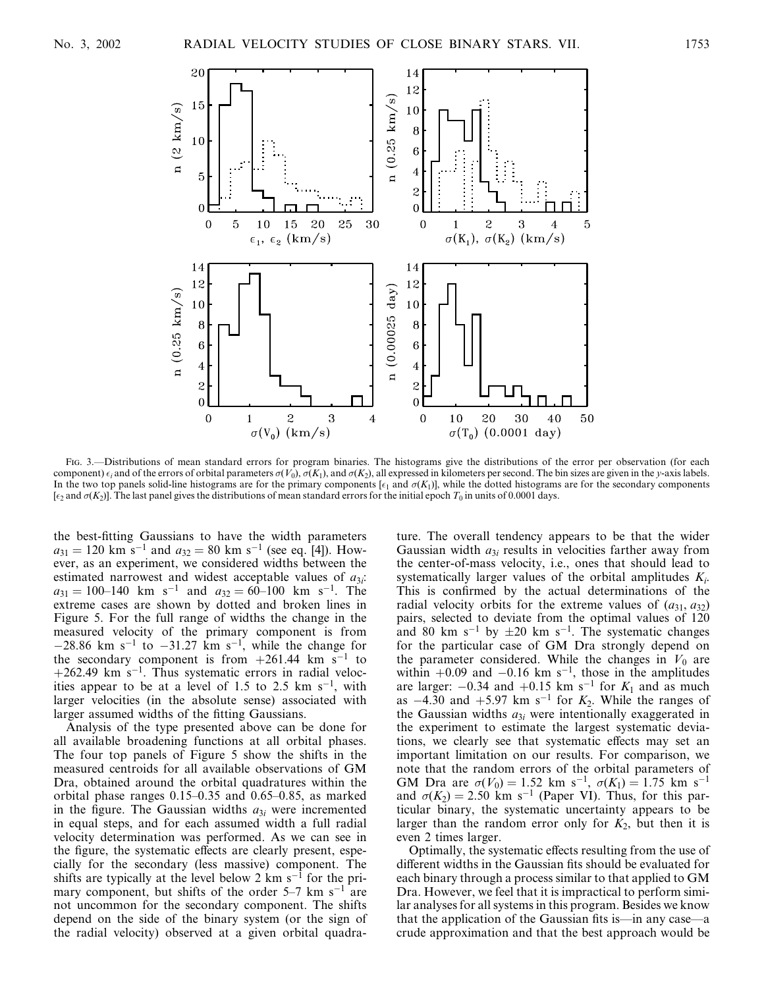

Fig. 3.—Distributions of mean standard errors for program binaries. The histograms give the distributions of the error per observation (for each component)  $\epsilon_i$  and of the errors of orbital parameters  $\sigma(V_0)$ ,  $\sigma(K_1)$ , and  $\sigma(K_2)$ , all expressed in kilometers per second. The bin sizes are given in the y-axis labels. In the two top panels solid-line histograms are for the primary components  $[\epsilon_1$  and  $\sigma(K_1)]$ , while the dotted histograms are for the secondary components  $[\epsilon_2$  and  $\sigma(K_2)]$ . The last panel gives the distributions of mean standard errors for the initial epoch  $T_0$  in units of 0.0001 days.

the best-fitting Gaussians to have the width parameters  $a_{31} = 120$  km s<sup>-1</sup> and  $a_{32} = 80$  km s<sup>-1</sup> (see eq. [4]). However, as an experiment, we considered widths between the estimated narrowest and widest acceptable values of  $a_{3i}$ .  $a_{31} = 100-140$  km s<sup>-1</sup> and  $a_{32} = 60-100$  km s<sup>-1</sup>. The extreme cases are shown by dotted and broken lines in Figure 5. For the full range of widths the change in the measured velocity of the primary component is from  $-28.86$  km s<sup>-1</sup> to  $-31.27$  km s<sup>-1</sup>, while the change for the secondary component is from  $+261.44$  km s<sup>-1</sup> to  $+262.49$  km s<sup>-1</sup>. Thus systematic errors in radial velocities appear to be at a level of 1.5 to 2.5 km  $s^{-1}$ , with larger velocities (in the absolute sense) associated with larger assumed widths of the fitting Gaussians.

Analysis of the type presented above can be done for all available broadening functions at all orbital phases. The four top panels of Figure 5 show the shifts in the measured centroids for all available observations of GM Dra, obtained around the orbital quadratures within the orbital phase ranges 0.15–0.35 and 0.65–0.85, as marked in the figure. The Gaussian widths  $a_{3i}$  were incremented in equal steps, and for each assumed width a full radial velocity determination was performed. As we can see in the figure, the systematic effects are clearly present, especially for the secondary (less massive) component. The shifts are typically at the level below 2  $km s<sup>-1</sup>$  for the primary component, but shifts of the order  $5-7$  km s<sup>-1</sup> are not uncommon for the secondary component. The shifts depend on the side of the binary system (or the sign of the radial velocity) observed at a given orbital quadrature. The overall tendency appears to be that the wider Gaussian width  $a_{3i}$  results in velocities farther away from the center-of-mass velocity, i.e., ones that should lead to systematically larger values of the orbital amplitudes  $K_i$ . This is confirmed by the actual determinations of the radial velocity orbits for the extreme values of  $(a_{31}, a_{32})$ pairs, selected to deviate from the optimal values of 120 and 80 km s<sup>-1</sup> by  $\pm 20$  km s<sup>-1</sup>. The systematic changes for the particular case of GM Dra strongly depend on the parameter considered. While the changes in  $V_0$  are within  $+0.09$  and  $-0.16$  km s<sup>-1</sup>, those in the amplitudes are larger:  $-0.34$  and  $+0.15$  km s<sup>-1</sup> for  $K_1$  and as much as  $-4.30$  and  $+5.97$  km s<sup>-1</sup> for  $K_2$ . While the ranges of the Gaussian widths  $a_{3i}$  were intentionally exaggerated in the experiment to estimate the largest systematic deviations, we clearly see that systematic effects may set an important limitation on our results. For comparison, we note that the random errors of the orbital parameters of GM Dra are  $\sigma(V_0) = 1.52$  km s<sup>-1</sup>,  $\sigma(K_1) = 1.75$  km s<sup>-1</sup> and  $\sigma(K_2) = 2.50$  km s<sup>-1</sup> (Paper VI). Thus, for this particular binary, the systematic uncertainty appears to be larger than the random error only for  $K_2$ , but then it is even 2 times larger.

Optimally, the systematic effects resulting from the use of different widths in the Gaussian fits should be evaluated for each binary through a process similar to that applied to GM Dra. However, we feel that it is impractical to perform similar analyses for all systems in this program. Besides we know that the application of the Gaussian fits is—in any case—a crude approximation and that the best approach would be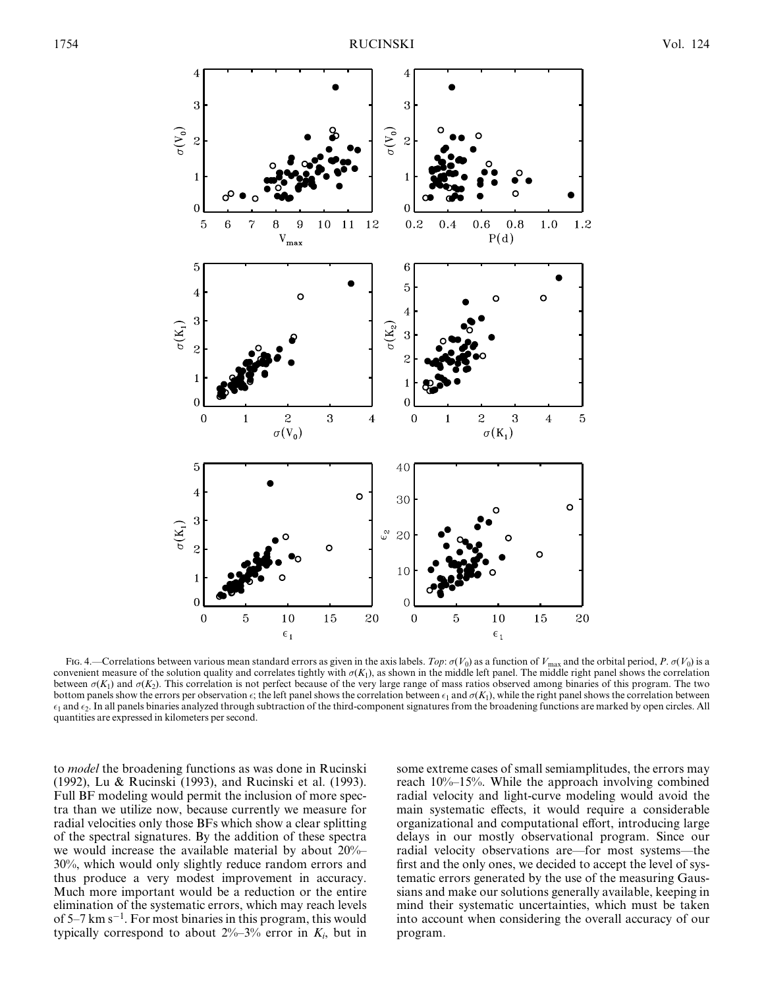

Fig. 4.—Correlations between various mean standard errors as given in the axis labels. Top:  $\sigma(V_0)$  as a function of  $V_{\text{max}}$  and the orbital period, P.  $\sigma(V_0)$  is a convenient measure of the solution quality and correlates tightly with  $\sigma(K_1)$ , as shown in the middle left panel. The middle right panel shows the correlation between  $\sigma(K_1)$  and  $\sigma(K_2)$ . This correlation is not perfect because of the very large range of mass ratios observed among binaries of this program. The two bottom panels show the errors per observation  $\epsilon$ ; the left panel shows the correlation between  $\epsilon_1$  and  $\sigma(K_1)$ , while the right panel shows the correlation between  $\epsilon_1$  and  $\epsilon_2$ . In all panels binaries analyzed through subtraction of the third-component signatures from the broadening functions are marked by open circles. All quantities are expressed in kilometers per second.

to model the broadening functions as was done in Rucinski (1992), Lu & Rucinski (1993), and Rucinski et al. (1993). Full BF modeling would permit the inclusion of more spectra than we utilize now, because currently we measure for radial velocities only those BFs which show a clear splitting of the spectral signatures. By the addition of these spectra we would increase the available material by about 20%– 30%, which would only slightly reduce random errors and thus produce a very modest improvement in accuracy. Much more important would be a reduction or the entire elimination of the systematic errors, which may reach levels of 5–7 km s 1 . For most binaries in this program, this would typically correspond to about  $2\% - 3\%$  error in  $K_i$ , but in

some extreme cases of small semiamplitudes, the errors may reach 10%–15%. While the approach involving combined radial velocity and light-curve modeling would avoid the main systematic effects, it would require a considerable organizational and computational effort, introducing large delays in our mostly observational program. Since our radial velocity observations are—for most systems—the first and the only ones, we decided to accept the level of systematic errors generated by the use of the measuring Gaussians and make our solutions generally available, keeping in mind their systematic uncertainties, which must be taken into account when considering the overall accuracy of our program.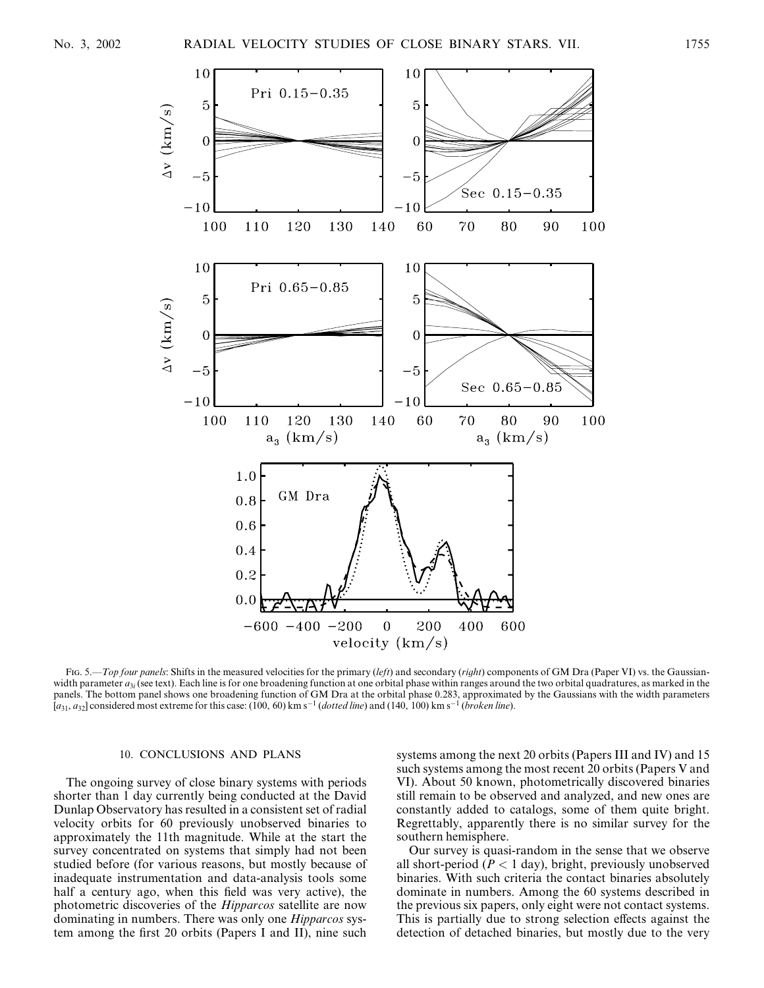

Fig. 5.—Top four panels: Shifts in the measured velocities for the primary (left) and secondary (right) components of GM Dra (Paper VI) vs. the Gaussianwidth parameter  $a_{3i}$  (see text). Each line is for one broadening function at one orbital phase within ranges around the two orbital quadratures, as marked in the panels. The bottom panel shows one broadening function of GM Dra at the orbital phase 0.283, approximated by the Gaussians with the width parameters  $[a_{31}, a_{32}]$  considered most extreme for this case: (100, 60) km s<sup>-1</sup> (dotted line) and (140, 100) km s<sup>-1</sup> (broken line).

#### 10. CONCLUSIONS AND PLANS

The ongoing survey of close binary systems with periods shorter than 1 day currently being conducted at the David Dunlap Observatory has resulted in a consistent set of radial velocity orbits for 60 previously unobserved binaries to approximately the 11th magnitude. While at the start the survey concentrated on systems that simply had not been studied before (for various reasons, but mostly because of inadequate instrumentation and data-analysis tools some half a century ago, when this field was very active), the photometric discoveries of the Hipparcos satellite are now dominating in numbers. There was only one *Hipparcos* system among the first 20 orbits (Papers I and II), nine such

systems among the next 20 orbits (Papers III and IV) and 15 such systems among the most recent 20 orbits (Papers V and VI). About 50 known, photometrically discovered binaries still remain to be observed and analyzed, and new ones are constantly added to catalogs, some of them quite bright. Regrettably, apparently there is no similar survey for the southern hemisphere.

Our survey is quasi-random in the sense that we observe all short-period ( $P < 1$  day), bright, previously unobserved binaries. With such criteria the contact binaries absolutely dominate in numbers. Among the 60 systems described in the previous six papers, only eight were not contact systems. This is partially due to strong selection effects against the detection of detached binaries, but mostly due to the very